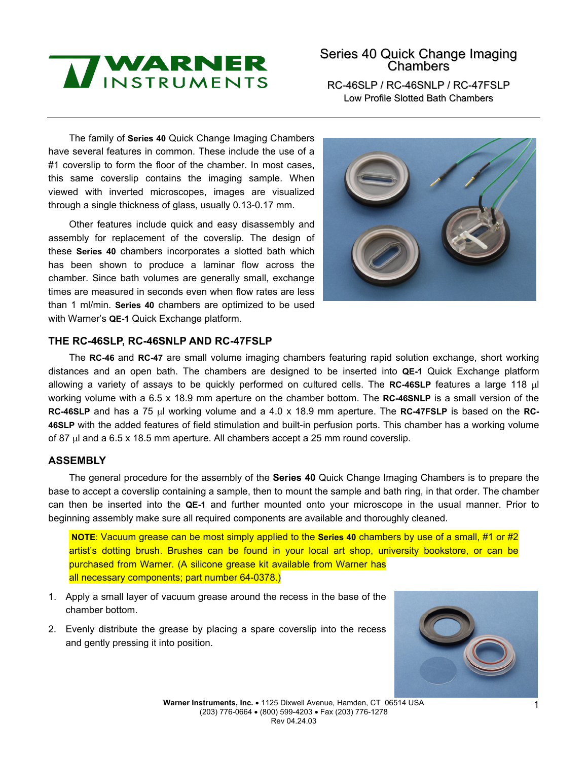

# Series 40 Quick Change Imaging Chambers

RC-46SLP / RC-46SNLP / RC-47FSLP Low Profile Slotted Bath Chambers

The family of **Series 40** Quick Change Imaging Chambers have several features in common. These include the use of a #1 coverslip to form the floor of the chamber. In most cases, this same coverslip contains the imaging sample. When viewed with inverted microscopes, images are visualized through a single thickness of glass, usually 0.13-0.17 mm.

Other features include quick and easy disassembly and assembly for replacement of the coverslip. The design of these **Series 40** chambers incorporates a slotted bath which has been shown to produce a laminar flow across the chamber. Since bath volumes are generally small, exchange times are measured in seconds even when flow rates are less than 1 ml/min. **Series 40** chambers are optimized to be used with Warner's **QE-1** Quick Exchange platform.



## **THE RC-46SLP, RC-46SNLP AND RC-47FSLP**

The **RC-46** and **RC-47** are small volume imaging chambers featuring rapid solution exchange, short working distances and an open bath. The chambers are designed to be inserted into **QE-1** Quick Exchange platform allowing a variety of assays to be quickly performed on cultured cells. The **RC-46SLP** features a large 118 µl working volume with a 6.5 x 18.9 mm aperture on the chamber bottom. The **RC-46SNLP** is a small version of the **RC-46SLP** and has a 75 µl working volume and a 4.0 x 18.9 mm aperture. The **RC-47FSLP** is based on the **RC-46SLP** with the added features of field stimulation and built-in perfusion ports. This chamber has a working volume of 87 µl and a 6.5 x 18.5 mm aperture. All chambers accept a 25 mm round coverslip.

#### **ASSEMBLY**

The general procedure for the assembly of the **Series 40** Quick Change Imaging Chambers is to prepare the base to accept a coverslip containing a sample, then to mount the sample and bath ring, in that order. The chamber can then be inserted into the **QE-1** and further mounted onto your microscope in the usual manner. Prior to beginning assembly make sure all required components are available and thoroughly cleaned.

 **NOTE**: Vacuum grease can be most simply applied to the **Series 40** chambers by use of a small, #1 or #2 artist's dotting brush. Brushes can be found in your local art shop, university bookstore, or can be purchased from Warner. (A silicone grease kit available from Warner has all necessary components; part number 64-0378.)

- 1. Apply a small layer of vacuum grease around the recess in the base of the chamber bottom.
- 2. Evenly distribute the grease by placing a spare coverslip into the recess and gently pressing it into position.